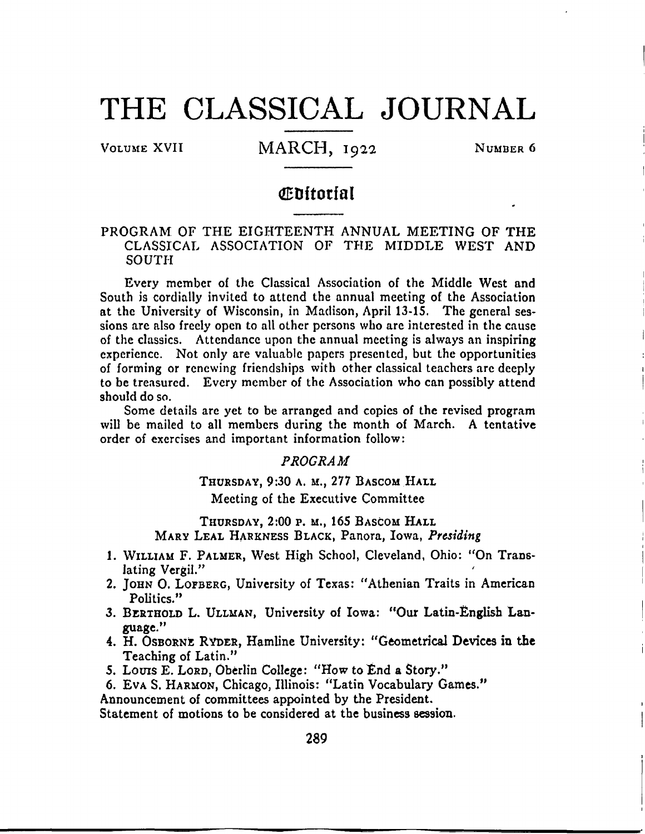# **T H E CLASSICA L JOURNA L**

# VOLUME XVII MARCH, 1922 NUMBER 6

# **dEDftotfa l**

# PROGRAM OF THE EIGHTEENTH ANNUAL MEETING OF THE CLASSICAL ASSOCIATION OF THE MIDDLE WEST AND **SOUTH**

Every member of the Classical Association of the Middle West and South is cordially invited to attend the annual meeting of the Association at the University of Wisconsin, in Madison, April 13-15. The general sessions are also freely open to all other persons who are interested in the cause of the classics. Attendance upon the annual meeting is always an inspiring experience. Not only are valuable papers presented, but the opportunities of forming or renewing friendships with other classical teachers are deeply to be treasured. Every member of the Association who can possibly attend should do so.

Some details are yet to be arranged and copies of the revised program will be mailed to all members during the month of March. A tentative order of exercises and important information follow:

# *PROGRAM*

# THURSDAY, 9:30 A. M., 277 BASCOM HALL Meeting of the Executive Committee

THURSDAY, 2:00 P. M., 165 BASCOM HALL MARY LEAL HARKNESS BLACK, Panora, Iowa, Presiding

- 1. WILLIAM F. PALMER, West High School, Cleveland, Ohio: "On Translating Vergil."
- 2. JOHN O. LOFBERG, University of Texas: "Athenian Traits in American Politics."
- 3. BERTHOLD L. ULLMAN, University of Iowa: "Our Latin-English Language. "
- 4. H. OSBORNE RYDER, Hamline University: "Geometrical Devices in the Teaching of Latin."
- 5. Louis E. Lorp, Oberlin College: "How to End a Story."
- 6. Eva S. HARMON, Chicago, Illinois: "Latin Vocabulary Games."

Announcement of committees appointed by the President.

Statement of motions to be considered at the business session.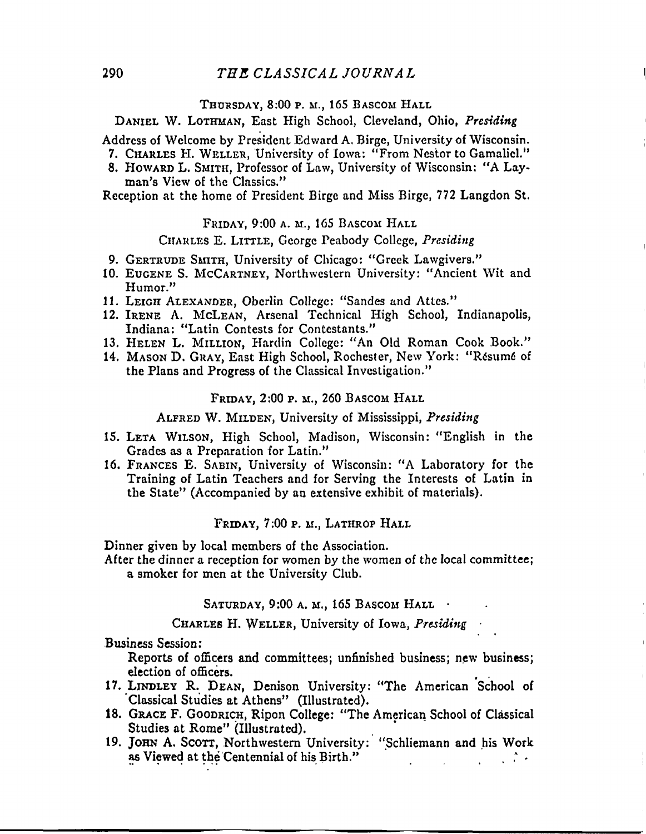### **THURSDAY , 8:0 0 p. M., 16 5 BASCOM HAL L**

**DANIEL W. LOTHMAN, East High School, Cleveland, Ohio,** *Presiding* 

**Address of Welcome by President Edward A, Birge, University of Wisconsin.** 

- **7. CHARLES H. WELLER, University of Iowa: "From Nestor to Gamaliel."**
- **8. HOWARD L. SMITH, Professor of Law, University of Wisconsin: "A Layman's View of the Classics."**

**Reception at the home of President Birge and Miss Birge, 772 Langdon St.** 

#### **FRIDAY, 9:0 0 A. M., 16 5 BASCOM HAL L**

#### **CHARLES E. LITTLE, George Peabody College,** *Presiding*

- **9. GERTRUDE SMITH, University of Chicago: "Greek Lawgivers."**
- **10. EUGENE S. MCCARTNEY, Northwester n University : "Ancien t Wi t an d Humor."**
- **11. LEIGH ALEXANDER, Oberlin College: "Sandes and Attes."**
- **12. IRENE A. MCLEAN, Arsenal Technical High School, Indianapolis, Indiana: "Latin Contests for Contestants."**
- **13. HELEN L. MILLION, Hardin College: "An Old Roman Cook Book."**
- 14. MASON D. GRAY, East High School, Rochester, New York: "Résumé of **the Plans and Progress of the Classical Investigation."**

#### **FRIDAY , 2:0 0 p . M., 26 0 BASCOM HAL L**

**ALFRED W . MILDEN, Universit y of Mississippi,** *Presiding* 

- **15. LETA WILSON, High School, Madison, Wisconsin: "English in the Grades as a Preparation for Latin."**
- **16. FRANCES E . SABIN, Universit y of Wisconsin: " A Laborator y for th e Training of Latin Teachers and for Serving the Interests of Latin in the State" (Accompanied by an extensive exhibit of materials).**

#### **FRIDAY , 7:0 0 p . M., LATHROP HAL L**

**Dinner given by local members of the Association.** 

**After the dinner a reception for women by the women of the local committee ; a smoker for men at the University Club.** 

**SATURDAY, 9:0 0 A. M., 16 5 BASCOM HAL L •** 

**CHARLES H . WELLER, Universit y of Iowa ,** *Presiding* 

**Business Session:** 

**Reports of officers and committees; unfinished business; new business; election of officers.** 

- 17. LINDLEY R. DEAN, Denison University: "The American School of **17. Classical Studies at Athens"** (Illustrated).
- 18. GRACE F. GOODRICH, Ripon College: "The American School of Classical Studies at Rome" (Illustrated).
- 19. JOHN A. SCOTT, Northwestern University: "Schliemann and his Work **19. IS NOTE A. S. School as Viewed at the Centennial of his Birth." as Viewed at the Centennial of his Birth." . , A**